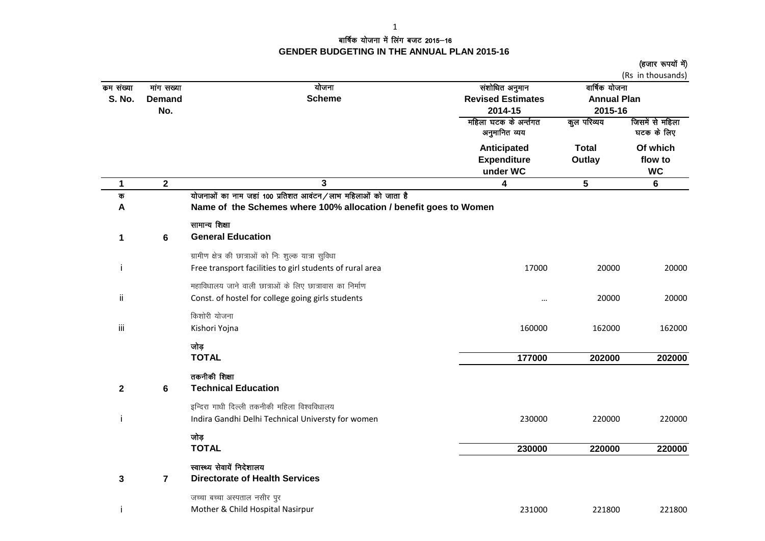## बार्षिक योजना में लिंग बजट 2015–16 **GENDER BUDGETING IN THE ANNUAL PLAN 2015-16**

## (हजार रूपयों में)

|                      |                     |                                                                   |                                        |                    | (Rs in thousands)             |
|----------------------|---------------------|-------------------------------------------------------------------|----------------------------------------|--------------------|-------------------------------|
| कम संख्या            | योजना<br>मांग सख्या | संशोधित अनुमान                                                    | वार्षिक योजना                          |                    |                               |
| <b>S. No.</b>        | <b>Demand</b>       | <b>Scheme</b>                                                     | <b>Revised Estimates</b>               | <b>Annual Plan</b> |                               |
|                      | No.                 |                                                                   | 2014-15                                | 2015-16            |                               |
|                      |                     |                                                                   | महिला घटक के अर्न्तगत<br>अनुमानित व्यय | कुल परिव्यय        | जिसमें से महिला<br>घटक के लिए |
|                      |                     |                                                                   | Anticipated                            | <b>Total</b>       | Of which                      |
|                      |                     |                                                                   | <b>Expenditure</b>                     | Outlay             | flow to                       |
|                      |                     |                                                                   | under WC                               |                    | <b>WC</b>                     |
| $\blacktriangleleft$ | $\overline{2}$      | 3                                                                 | 4                                      | 5                  | 6                             |
| क                    |                     | योजनाओं का नाम जहां 100 प्रतिशत आवंटन/लाभ महिलाओं को जाता है      |                                        |                    |                               |
| A                    |                     | Name of the Schemes where 100% allocation / benefit goes to Women |                                        |                    |                               |
|                      |                     | सामान्य शिक्षा                                                    |                                        |                    |                               |
| 1                    | 6                   | <b>General Education</b>                                          |                                        |                    |                               |
|                      |                     | ग्रामीण क्षेत्र की छात्राओं को निः शुल्क यात्रा सुविधा            |                                        |                    |                               |
| j                    |                     | Free transport facilities to girl students of rural area          | 17000                                  | 20000              | 20000                         |
|                      |                     | महाविधालय जाने वाली छात्राओं के लिए छात्रावास का निर्माण          |                                        |                    |                               |
| ij                   |                     | Const. of hostel for college going girls students                 |                                        | 20000              | 20000                         |
|                      |                     | किशोरी योजना                                                      |                                        |                    |                               |
| iij                  |                     | Kishori Yojna                                                     | 160000                                 | 162000             | 162000                        |
|                      |                     |                                                                   |                                        |                    |                               |
|                      |                     | जोड़<br><b>TOTAL</b>                                              | 177000                                 | 202000             | 202000                        |
|                      |                     |                                                                   |                                        |                    |                               |
|                      |                     | तकनीकी शिक्षा                                                     |                                        |                    |                               |
| $\mathbf 2$          | 6                   | <b>Technical Education</b>                                        |                                        |                    |                               |
|                      |                     | इन्दिरा गाधी दिल्ली तकनीकी महिला विश्वविधालय                      |                                        |                    |                               |
| Ť                    |                     | Indira Gandhi Delhi Technical Universty for women                 | 230000                                 | 220000             | 220000                        |
|                      |                     | जोड़                                                              |                                        |                    |                               |
|                      |                     | <b>TOTAL</b>                                                      | 230000                                 | 220000             | 220000                        |
|                      |                     | स्वास्थ्य सेवायें निदेशालय                                        |                                        |                    |                               |
| 3                    | 7                   | <b>Directorate of Health Services</b>                             |                                        |                    |                               |
|                      |                     | जच्चा बच्चा अस्पताल नसीर पुर                                      |                                        |                    |                               |
| Ť                    |                     | Mother & Child Hospital Nasirpur                                  | 231000                                 | 221800             | 221800                        |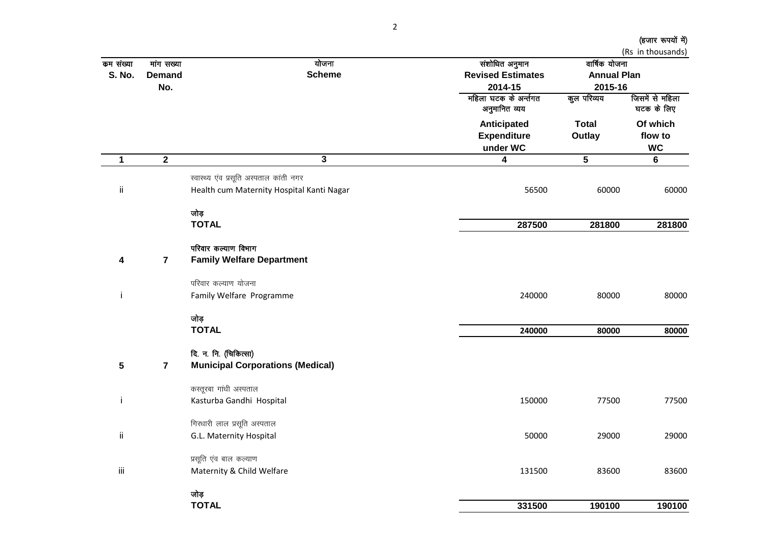| (हजार रूपयों में) |  |
|-------------------|--|
|                   |  |

| कम संख्या   | मांग सख्या           | योजना                                     | संशोधित अनुमान                         | वार्षिक योजना                 |                               |
|-------------|----------------------|-------------------------------------------|----------------------------------------|-------------------------------|-------------------------------|
| S. No.      | <b>Demand</b><br>No. | <b>Scheme</b>                             | <b>Revised Estimates</b><br>2014-15    | <b>Annual Plan</b><br>2015-16 |                               |
|             |                      |                                           | महिला घटक के अर्न्तगत<br>अनुमानित व्यय | कुल परिव्यय                   | जिसमें से महिला<br>घटक के लिए |
|             |                      |                                           | Anticipated                            | <b>Total</b>                  | Of which                      |
|             |                      |                                           | <b>Expenditure</b><br>under WC         | Outlay                        | flow to<br><b>WC</b>          |
| $\mathbf 1$ | $\overline{2}$       | $\overline{\mathbf{3}}$                   | $\overline{\mathbf{4}}$                | $\overline{\mathbf{5}}$       | 6                             |
|             |                      | स्वास्थ्य एंव प्रसूति अस्पताल कांती नगर   |                                        |                               |                               |
| ij.         |                      | Health cum Maternity Hospital Kanti Nagar | 56500                                  | 60000                         | 60000                         |
|             |                      | जोड़                                      |                                        |                               |                               |
|             |                      | <b>TOTAL</b>                              | 287500                                 | 281800                        | 281800                        |
|             |                      | परिवार कल्याण विभाग                       |                                        |                               |                               |
| 4           | $\overline{7}$       | <b>Family Welfare Department</b>          |                                        |                               |                               |
|             |                      | परिवार कल्याण योजना                       |                                        |                               |                               |
|             |                      | Family Welfare Programme                  | 240000                                 | 80000                         | 80000                         |
|             |                      | जोड़                                      |                                        |                               |                               |
|             |                      | <b>TOTAL</b>                              | 240000                                 | 80000                         | 80000                         |
|             |                      | दि. न. नि. (चिकित्सा)                     |                                        |                               |                               |
| 5           | $\overline{7}$       | <b>Municipal Corporations (Medical)</b>   |                                        |                               |                               |
|             |                      | कस्तूरबा गांधी अस्पताल                    |                                        |                               |                               |
| j.          |                      | Kasturba Gandhi Hospital                  | 150000                                 | 77500                         | 77500                         |
|             |                      | गिरधारी लाल प्रसूति अस्पताल               |                                        |                               |                               |
| ii          |                      | G.L. Maternity Hospital                   | 50000                                  | 29000                         | 29000                         |
|             |                      | प्रसूति एंव बाल कल्याण                    |                                        |                               |                               |
| iii         |                      | Maternity & Child Welfare                 | 131500                                 | 83600                         | 83600                         |
|             |                      | जोड़                                      |                                        |                               |                               |
|             |                      | <b>TOTAL</b>                              | 331500                                 | 190100                        | 190100                        |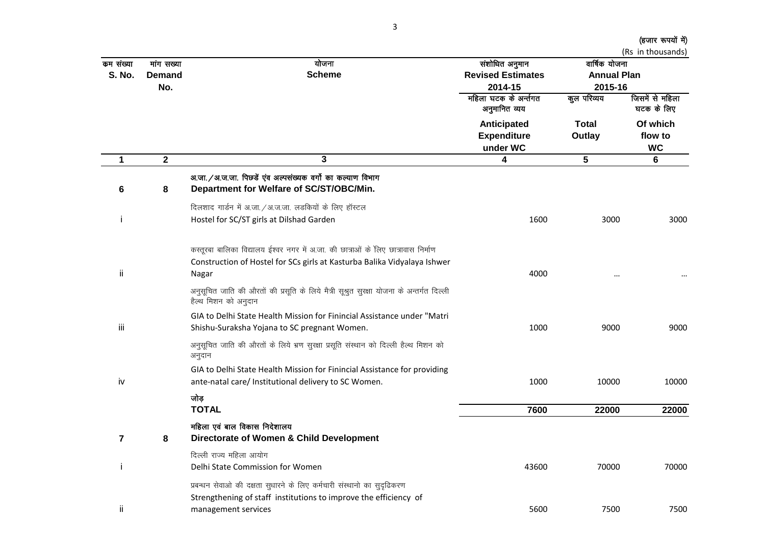| (हजार रूपयों में) |  |
|-------------------|--|
|                   |  |

| कम संख्या<br>मांग सख्या |                | योजना                                                                                                                                                                  | संशोधित अनुमान                                    | वार्षिक योजना          |                                  |
|-------------------------|----------------|------------------------------------------------------------------------------------------------------------------------------------------------------------------------|---------------------------------------------------|------------------------|----------------------------------|
| <b>S. No.</b>           | <b>Demand</b>  | <b>Scheme</b>                                                                                                                                                          | <b>Revised Estimates</b>                          | <b>Annual Plan</b>     |                                  |
|                         | No.            |                                                                                                                                                                        | 2014-15<br>महिला घटक के अर्न्तगत<br>अनुमानित व्यय | 2015-16<br>कुल परिव्यय | जिसमें से महिला<br>घटक के लिए    |
|                         |                |                                                                                                                                                                        | Anticipated<br><b>Expenditure</b><br>under WC     | <b>Total</b><br>Outlay | Of which<br>flow to<br><b>WC</b> |
| 1                       | $\overline{2}$ | 3                                                                                                                                                                      | 4                                                 | 5                      | 6                                |
| 6                       | 8              | अ.जा. / अ.ज.जा. पिछडें एव अल्पसंख्यक वर्गो का कल्याण विभाग<br>Department for Welfare of SC/ST/OBC/Min.                                                                 |                                                   |                        |                                  |
| j                       |                | दिलशाद गार्डन में अ.जा. / अ.ज.जा. लडकियों के लिए हॉस्टल<br>Hostel for SC/ST girls at Dilshad Garden                                                                    | 1600                                              | 3000                   | 3000                             |
| ij.                     |                | कस्तूरबा बालिका विद्यालय ईश्वर नगर में अ.जा. की छात्राओं के लिए छात्रावास निर्माण<br>Construction of Hostel for SCs girls at Kasturba Balika Vidyalaya Ishwer<br>Nagar | 4000                                              | $\cdots$               |                                  |
|                         |                | अनुसूचित जाति की औरतों की प्रसूति के लिये मैत्री सूश्रुत सुरक्षा योजना के अन्तर्गत दिल्ली<br>हैल्थ मिशन को अनुदान                                                      |                                                   |                        |                                  |
| iii                     |                | GIA to Delhi State Health Mission for Finincial Assistance under "Matri<br>Shishu-Suraksha Yojana to SC pregnant Women.                                                | 1000                                              | 9000                   | 9000                             |
|                         |                | अनुसूचित जाति की औरतों के लिये भ्रण सुरक्षा प्रसूति संस्थान को दिल्ली हैल्थ मिशन को<br>अनुदान                                                                          |                                                   |                        |                                  |
| iv                      |                | GIA to Delhi State Health Mission for Finincial Assistance for providing<br>ante-natal care/ Institutional delivery to SC Women.                                       | 1000                                              | 10000                  | 10000                            |
|                         |                | जोड़<br><b>TOTAL</b>                                                                                                                                                   | 7600                                              | 22000                  | 22000                            |
| $\overline{\mathbf{r}}$ | 8              | महिला एवं बाल विकास निदेशालय<br>Directorate of Women & Child Development                                                                                               |                                                   |                        |                                  |
|                         |                | दिल्ली राज्य महिला आयोग                                                                                                                                                |                                                   |                        |                                  |
|                         |                | Delhi State Commission for Women                                                                                                                                       | 43600                                             | 70000                  | 70000                            |
|                         |                | प्रबन्धन सेवाओ की दक्षता सुधारने के लिए कर्मचारी संस्थानो का सुदृढिकरण<br>Strengthening of staff institutions to improve the efficiency of                             |                                                   |                        |                                  |
| ij.                     |                | management services                                                                                                                                                    | 5600                                              | 7500                   | 7500                             |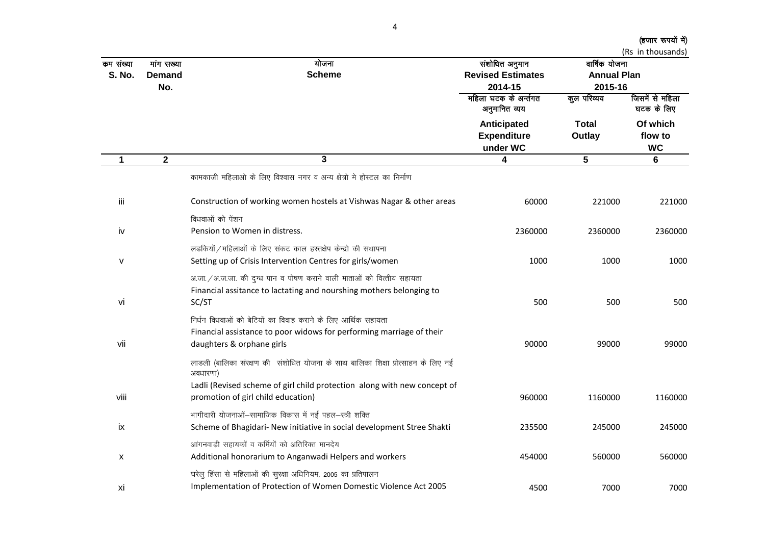| (हजार रूपयों में) |  |
|-------------------|--|
|                   |  |

| कम संख्या<br><b>S. No.</b> | मांग सख्या<br><b>Demand</b><br>No. | योजना<br><b>Scheme</b>                                                                                                                         | संशोधित अनुमान<br><b>Revised Estimates</b><br>2014-15<br>महिला घटक के अर्न्तगत | $\frac{1}{2}$<br>वार्षिक योजना<br><b>Annual Plan</b><br>2015-16<br>कुल परिव्यय<br>जिसमें से महिला |                        |
|----------------------------|------------------------------------|------------------------------------------------------------------------------------------------------------------------------------------------|--------------------------------------------------------------------------------|---------------------------------------------------------------------------------------------------|------------------------|
|                            |                                    |                                                                                                                                                | अनुमानित व्यय<br>Anticipated                                                   | <b>Total</b>                                                                                      | घटक के लिए<br>Of which |
|                            |                                    |                                                                                                                                                | <b>Expenditure</b><br>under WC                                                 | Outlay                                                                                            | flow to<br><b>WC</b>   |
| 1                          | $\overline{2}$                     | 3                                                                                                                                              | 4                                                                              | $\overline{\mathbf{5}}$                                                                           | 6                      |
|                            |                                    | कामकाजी महिलाओ के लिए विश्वास नगर व अन्य क्षेत्रो मे होस्टल का निर्माण                                                                         |                                                                                |                                                                                                   |                        |
| iii                        |                                    | Construction of working women hostels at Vishwas Nagar & other areas                                                                           | 60000                                                                          | 221000                                                                                            | 221000                 |
| iv                         |                                    | विधवाओं को पेंशन<br>Pension to Women in distress.                                                                                              | 2360000                                                                        | 2360000                                                                                           | 2360000                |
|                            |                                    | लड़कियों / महिलाओं के लिए संकट काल हस्तक्षेप केन्द्रो की सथापना                                                                                |                                                                                |                                                                                                   |                        |
| $\mathsf{V}$               |                                    | Setting up of Crisis Intervention Centres for girls/women                                                                                      | 1000                                                                           | 1000                                                                                              | 1000                   |
|                            |                                    | अ.जा. / अ.ज.जा. की दुग्ध पान व पोषण कराने वाली माताओं को वित्तीय सहायता<br>Financial assitance to lactating and nourshing mothers belonging to |                                                                                |                                                                                                   |                        |
| vi                         |                                    | SC/ST                                                                                                                                          | 500                                                                            | 500                                                                                               | 500                    |
|                            |                                    | निर्धन विधवाओं को बेटियों का विवाह कराने के लिए आर्थिक सहायता                                                                                  |                                                                                |                                                                                                   |                        |
|                            |                                    | Financial assistance to poor widows for performing marriage of their                                                                           |                                                                                |                                                                                                   |                        |
| vii                        |                                    | daughters & orphane girls                                                                                                                      | 90000                                                                          | 99000                                                                                             | 99000                  |
|                            |                                    | लाडली (बालिका संरक्षण की संशोधित योजना के साथ बालिका शिक्षा प्रोत्साहन के लिए नई<br>अवधारणा)                                                   |                                                                                |                                                                                                   |                        |
| viii                       |                                    | Ladli (Revised scheme of girl child protection along with new concept of<br>promotion of girl child education)                                 | 960000                                                                         | 1160000                                                                                           | 1160000                |
|                            |                                    | भागीदारी योजनाओं-सामाजिक विकास में नई पहल-स्त्री शक्ति                                                                                         |                                                                                |                                                                                                   |                        |
| ix                         |                                    | Scheme of Bhagidari- New initiative in social development Stree Shakti                                                                         | 235500                                                                         | 245000                                                                                            | 245000                 |
| X                          |                                    | आंगनवाड़ी सहायकों व कर्मियों को अतिरिक्त मानदेय<br>Additional honorarium to Anganwadi Helpers and workers                                      | 454000                                                                         | 560000                                                                                            | 560000                 |
|                            |                                    | घरेलु हिंसा से महिलाओं की सुरक्षा अधिनियम, 2005 का प्रतिपालन                                                                                   |                                                                                |                                                                                                   |                        |
| хi                         |                                    | Implementation of Protection of Women Domestic Violence Act 2005                                                                               | 4500                                                                           | 7000                                                                                              | 7000                   |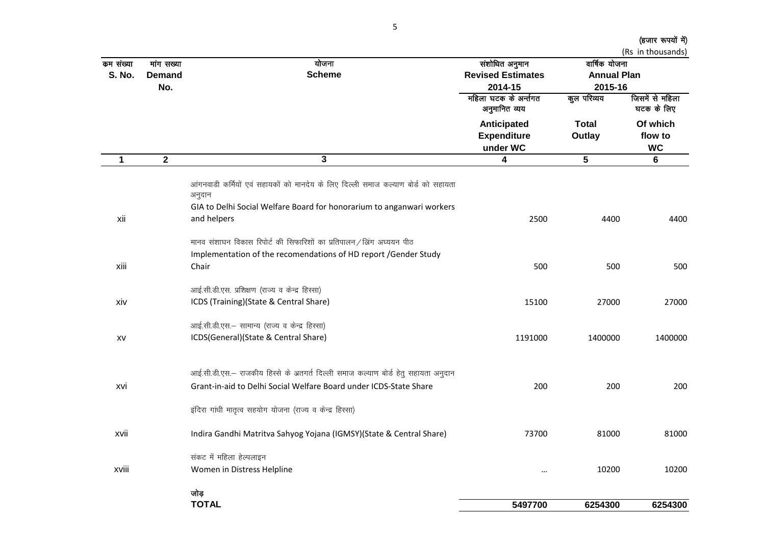|  | (Rs in thousands) |
|--|-------------------|
|--|-------------------|

| कम संख्या<br>S. No. | मांग सख्या<br><b>Demand</b><br>No. | योजना<br><b>Scheme</b>                                                                      | संशोधित अनुमान<br><b>Revised Estimates</b><br>2014-15 | वार्षिक योजना<br><b>Annual Plan</b><br>2015-16 |                                  |
|---------------------|------------------------------------|---------------------------------------------------------------------------------------------|-------------------------------------------------------|------------------------------------------------|----------------------------------|
|                     |                                    |                                                                                             | महिला घटक के अर्न्तगत<br>अनुमानित व्यय                | कुल परिव्यय                                    | जिसमें से महिला<br>घटक के लिए    |
|                     |                                    |                                                                                             | Anticipated<br><b>Expenditure</b><br>under WC         | <b>Total</b><br>Outlay                         | Of which<br>flow to<br><b>WC</b> |
| $\mathbf 1$         | $\mathbf{2}$                       | $\overline{\mathbf{3}}$                                                                     | 4                                                     | $\overline{\mathbf{5}}$                        | 6                                |
|                     |                                    | आंगनवाडी कर्मियों एवं सहायकों को मानदेय के लिए दिल्ली समाज कल्याण बोर्ड को सहायता<br>अनुदान |                                                       |                                                |                                  |
| xii                 |                                    | GIA to Delhi Social Welfare Board for honorarium to anganwari workers<br>and helpers        | 2500                                                  | 4400                                           | 4400                             |
|                     |                                    | मानव संशाघन विकास रिपोर्ट की सिफारिशों का प्रतिपालन/बिंग अध्ययन पीठ                         |                                                       |                                                |                                  |
| xiii                |                                    | Implementation of the recomendations of HD report /Gender Study<br>Chair                    | 500                                                   | 500                                            | 500                              |
|                     |                                    | आई.सी.डी.एस. प्रशिक्षण (राज्य व केन्द्र हिस्सा)                                             |                                                       |                                                |                                  |
| xiv                 |                                    | ICDS (Training)(State & Central Share)                                                      | 15100                                                 | 27000                                          | 27000                            |
|                     |                                    | आई.सी.डी.एस.- सामान्य (राज्य व केन्द्र हिस्सा)                                              |                                                       |                                                |                                  |
| XV                  |                                    | ICDS(General)(State & Central Share)                                                        | 1191000                                               | 1400000                                        | 1400000                          |
|                     |                                    | आई.सी.डी.एस.- राजकीय हिस्से के अतगर्त दिल्ली समाज कल्याण बोर्ड हेतु सहायता अनुदान           |                                                       |                                                |                                  |
| xvi                 |                                    | Grant-in-aid to Delhi Social Welfare Board under ICDS-State Share                           | 200                                                   | 200                                            | 200                              |
|                     |                                    | इंदिरा गांधी मातृत्व सहयोग योजना (राज्य व केन्द्र हिस्सा)                                   |                                                       |                                                |                                  |
| xvii                |                                    | Indira Gandhi Matritva Sahyog Yojana (IGMSY)(State & Central Share)                         | 73700                                                 | 81000                                          | 81000                            |
|                     |                                    | संकट में महिला हेल्पलाइन                                                                    |                                                       |                                                |                                  |
| xviii               |                                    | Women in Distress Helpline                                                                  | $\cdots$                                              | 10200                                          | 10200                            |
|                     |                                    | जोड                                                                                         |                                                       |                                                |                                  |
|                     |                                    | <b>TOTAL</b>                                                                                | 5497700                                               | 6254300                                        | 6254300                          |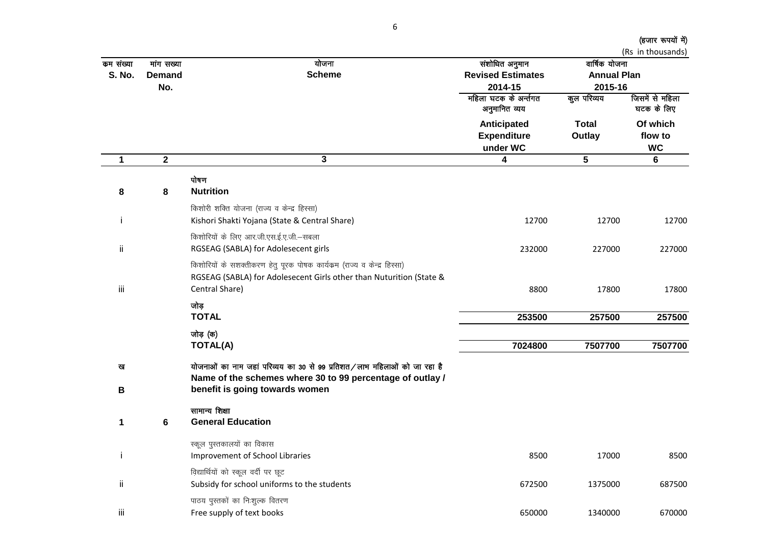| (हजार रूपयों में) |  |
|-------------------|--|
|                   |  |

| कम संख्या<br>मांग सख्या |                      | योजना                                                                                                                                                             | संशोधित अनुमान                                | वार्षिक योजना                 |                                  |
|-------------------------|----------------------|-------------------------------------------------------------------------------------------------------------------------------------------------------------------|-----------------------------------------------|-------------------------------|----------------------------------|
| <b>S. No.</b>           | <b>Demand</b><br>No. | <b>Scheme</b>                                                                                                                                                     | <b>Revised Estimates</b><br>2014-15           | <b>Annual Plan</b><br>2015-16 |                                  |
|                         |                      |                                                                                                                                                                   | महिला घटक के अर्न्तगत<br>अनुमानित व्यय        | कुल परिव्यय                   | जिसमें से महिला<br>घटक के लिए    |
|                         |                      |                                                                                                                                                                   | Anticipated<br><b>Expenditure</b><br>under WC | <b>Total</b><br>Outlay        | Of which<br>flow to<br><b>WC</b> |
| $\mathbf 1$             | $\mathbf{2}$         | 3                                                                                                                                                                 | 4                                             | 5                             | 6                                |
| 8                       | 8                    | पोषण<br><b>Nutrition</b>                                                                                                                                          |                                               |                               |                                  |
| Ť                       |                      | किशोरी शक्ति योजना (राज्य व केन्द्र हिस्सा)<br>Kishori Shakti Yojana (State & Central Share)                                                                      | 12700                                         | 12700                         | 12700                            |
| Ϊİ.                     |                      | किशोरियों के लिए आर.जी.एस.ई.ए.जी.-सबला<br>RGSEAG (SABLA) for Adolesecent girls                                                                                    | 232000                                        | 227000                        | 227000                           |
| -iii                    |                      | किशोरियों के सशक्तीकरण हेतु पूरक पोषक कार्यक्रम (राज्य व केन्द्र हिस्सा)<br>RGSEAG (SABLA) for Adolesecent Girls other than Nuturition (State &<br>Central Share) | 8800                                          | 17800                         | 17800                            |
|                         |                      | जोड<br><b>TOTAL</b>                                                                                                                                               | 253500                                        | 257500                        | 257500                           |
|                         |                      | जोड़ (क)<br><b>TOTAL(A)</b>                                                                                                                                       | 7024800                                       | 7507700                       | 7507700                          |
| ख                       |                      | योजनाओं का नाम जहां परिव्यय का 30 से 99 प्रतिशत/लाभ महिलाओं को जा रहा है<br>Name of the schemes where 30 to 99 percentage of outlay /                             |                                               |                               |                                  |
| В                       |                      | benefit is going towards women                                                                                                                                    |                                               |                               |                                  |
| 1                       | 6                    | सामान्य शिक्षा<br><b>General Education</b>                                                                                                                        |                                               |                               |                                  |
| Ť                       |                      | स्कूल पुस्तकालयों का विकास<br>Improvement of School Libraries                                                                                                     | 8500                                          | 17000                         | 8500                             |
| ji                      |                      | विद्यार्थियों को स्कूल वर्दी पर छूट<br>Subsidy for school uniforms to the students                                                                                | 672500                                        | 1375000                       | 687500                           |
| iii                     |                      | पाठय पुस्तकों का निःशुल्क वितरण<br>Free supply of text books                                                                                                      | 650000                                        | 1340000                       | 670000                           |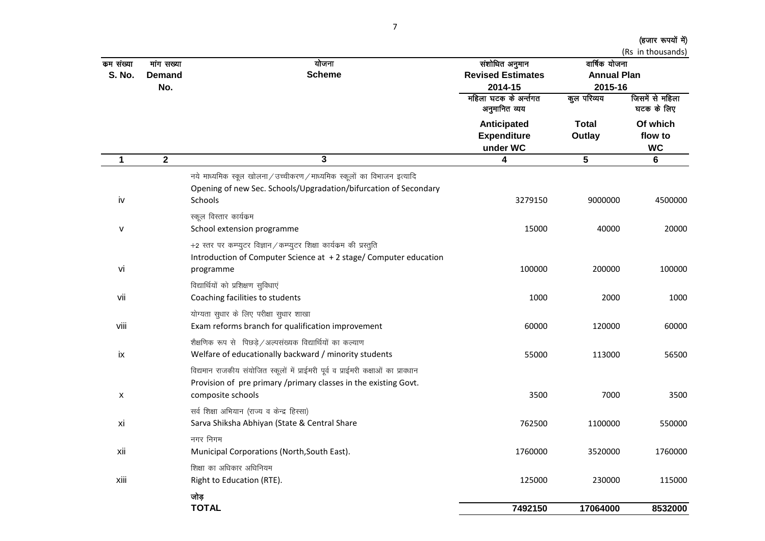| (हजार रूपयों में) |  |
|-------------------|--|
|                   |  |

| कम संख्या<br><b>S. No.</b> | मांग सख्या<br><b>Demand</b><br>No. | योजना<br><b>Scheme</b>                                                                                                                                         | संशोधित अनुमान<br><b>Revised Estimates</b><br>2014-15 | वार्षिक योजना<br><b>Annual Plan</b><br>2015-16 |                                  |
|----------------------------|------------------------------------|----------------------------------------------------------------------------------------------------------------------------------------------------------------|-------------------------------------------------------|------------------------------------------------|----------------------------------|
|                            |                                    |                                                                                                                                                                | महिला घटक के अर्न्तगत<br>अनुमानित व्यय                | कुल परिव्यय                                    | जिसमें से महिला<br>घटक के लिए    |
|                            |                                    |                                                                                                                                                                | Anticipated<br><b>Expenditure</b><br>under WC         | <b>Total</b><br>Outlay                         | Of which<br>flow to<br><b>WC</b> |
| 1                          | $\mathbf{2}$                       | 3                                                                                                                                                              | 4                                                     | 5                                              | 6                                |
| iv                         |                                    | नये माध्यमिक स्कूल खोलना / उच्चीकरण / माध्यमिक स्कूलों का विभाजन इत्यादि<br>Opening of new Sec. Schools/Upgradation/bifurcation of Secondary<br><b>Schools</b> | 3279150                                               | 9000000                                        | 4500000                          |
| v                          |                                    | स्कूल विस्तार कार्यक्रम<br>School extension programme                                                                                                          | 15000                                                 | 40000                                          | 20000                            |
| vi                         |                                    | +2 स्तर पर कम्प्युटर विज्ञान / कम्प्युटर शिक्षा कार्यक्रम की प्रस्तुति<br>Introduction of Computer Science at +2 stage/ Computer education<br>programme        | 100000                                                | 200000                                         | 100000                           |
| vii                        |                                    | विद्यार्थियों को प्रशिक्षण सुविधाएं<br>Coaching facilities to students                                                                                         | 1000                                                  | 2000                                           | 1000                             |
| viii                       |                                    | योग्यता सुधार के लिए परीक्षा सुधार शाखा<br>Exam reforms branch for qualification improvement                                                                   | 60000                                                 | 120000                                         | 60000                            |
| ix                         |                                    | शैक्षणिक रूप से पिछड़े / अल्पसंख्यक विद्यार्थियों का कल्याण<br>Welfare of educationally backward / minority students                                           | 55000                                                 | 113000                                         | 56500                            |
|                            |                                    | विद्यमान राजकीय संयोजित स्कूलों में प्राईमरी पूर्व व प्राईमरी कक्षाओं का प्रावधान<br>Provision of pre primary /primary classes in the existing Govt.           | 3500                                                  | 7000                                           | 3500                             |
| X<br>xi                    |                                    | composite schools<br>सर्व शिक्षा अभियान (राज्य व केन्द्र हिस्सा)<br>Sarva Shiksha Abhiyan (State & Central Share                                               | 762500                                                | 1100000                                        | 550000                           |
| xii                        |                                    | नगर निगम<br>Municipal Corporations (North, South East).                                                                                                        | 1760000                                               | 3520000                                        | 1760000                          |
| xiii                       |                                    | शिक्षा का अधिकार अधिनियम<br>Right to Education (RTE).                                                                                                          | 125000                                                | 230000                                         | 115000                           |
|                            |                                    | जोड़<br><b>TOTAL</b>                                                                                                                                           | 7492150                                               | 17064000                                       | 8532000                          |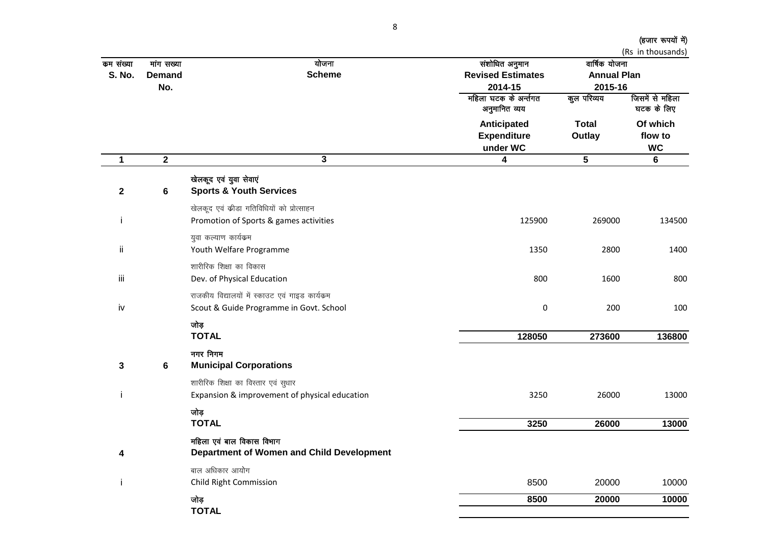| (हजार रूपयों में) |  |
|-------------------|--|
|                   |  |

| कम संख्या                      | मांग सख्या   | योजना                                                                                | संशोधित अनुमान                                | वार्षिक योजना          |                                  |
|--------------------------------|--------------|--------------------------------------------------------------------------------------|-----------------------------------------------|------------------------|----------------------------------|
| <b>S. No.</b><br><b>Demand</b> |              | <b>Scheme</b>                                                                        | <b>Revised Estimates</b>                      | <b>Annual Plan</b>     |                                  |
|                                | No.          |                                                                                      | 2014-15                                       | 2015-16                |                                  |
|                                |              |                                                                                      | महिला घटक के अर्न्तगत<br>अनुमानित व्यय        | कुल परिव्यय            | जिसमें से महिला<br>घटक के लिए    |
|                                |              |                                                                                      | Anticipated<br><b>Expenditure</b><br>under WC | <b>Total</b><br>Outlay | Of which<br>flow to<br><b>WC</b> |
| 1                              | $\mathbf{2}$ | 3                                                                                    | 4                                             | $5\phantom{.0}$        | 6                                |
| $\mathbf 2$                    | 6            | खेलकूद एवं युवा सेवाएं<br><b>Sports &amp; Youth Services</b>                         |                                               |                        |                                  |
| j                              |              | खेलकूद एवं कीडा गतिविधियों को प्रोत्साहन<br>Promotion of Sports & games activities   | 125900                                        | 269000                 | 134500                           |
| ii                             |              | युवा कल्याण कार्यक्रम<br>Youth Welfare Programme                                     | 1350                                          | 2800                   | 1400                             |
| iii                            |              | शारीरिक शिक्षा का विकास<br>Dev. of Physical Education                                | 800                                           | 1600                   | 800                              |
|                                |              | राजकीय विद्यालयों में स्काउट एवं गाइड कार्यक्रम                                      |                                               |                        |                                  |
| iv                             |              | Scout & Guide Programme in Govt. School                                              | $\pmb{0}$                                     | 200                    | 100                              |
|                                |              | जोड़<br><b>TOTAL</b>                                                                 | 128050                                        | 273600                 | 136800                           |
| 3                              | $\bf 6$      | नगर निगम<br><b>Municipal Corporations</b>                                            |                                               |                        |                                  |
| j                              |              | शारीरिक शिक्षा का विस्तार एवं सुधार<br>Expansion & improvement of physical education | 3250                                          | 26000                  | 13000                            |
|                                |              | जोड़                                                                                 |                                               |                        |                                  |
|                                |              | <b>TOTAL</b>                                                                         | 3250                                          | 26000                  | 13000                            |
| 4                              |              | महिला एवं बाल विकास विभाग<br>Department of Women and Child Development               |                                               |                        |                                  |
|                                |              | बाल अधिकार आयोग<br>Child Right Commission                                            | 8500                                          | 20000                  | 10000                            |
|                                |              | जोड़<br><b>TOTAL</b>                                                                 | 8500                                          | 20000                  | 10000                            |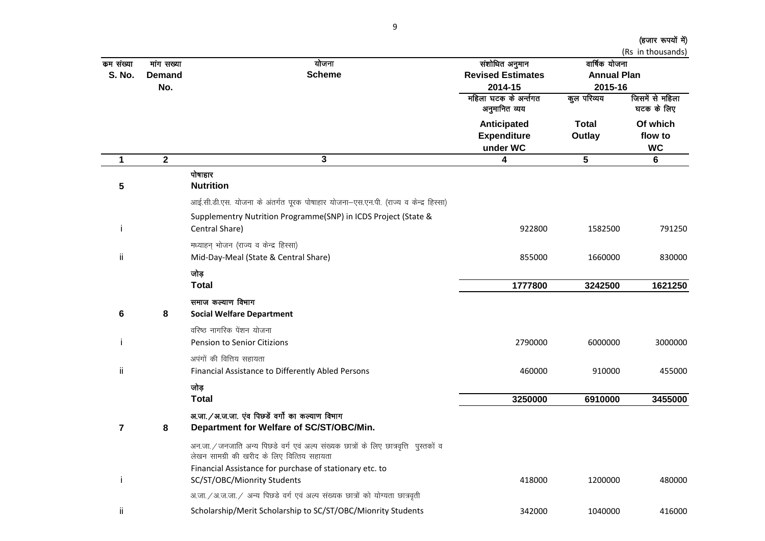| (हजार रूपयों में) |  |
|-------------------|--|
|                   |  |

| कम संख्या               | मांग सख्या                            | योजना                                                                                                                                                 | संशोधित अनुमान                                | वार्षिक योजना          |                                  |
|-------------------------|---------------------------------------|-------------------------------------------------------------------------------------------------------------------------------------------------------|-----------------------------------------------|------------------------|----------------------------------|
| <b>S. No.</b>           | <b>Scheme</b><br><b>Demand</b><br>No. | <b>Revised Estimates</b><br>2014-15                                                                                                                   | <b>Annual Plan</b><br>2015-16                 |                        |                                  |
|                         |                                       |                                                                                                                                                       | महिला घटक के अर्न्तगत<br>अनुमानित व्यय        | कुल परिव्यय            | जिसमें से महिला<br>घटक के लिए    |
|                         |                                       |                                                                                                                                                       | Anticipated<br><b>Expenditure</b><br>under WC | <b>Total</b><br>Outlay | Of which<br>flow to<br><b>WC</b> |
| $\mathbf{1}$            | $\overline{2}$                        | 3                                                                                                                                                     | 4                                             | 5                      | 6                                |
| 5                       |                                       | पोषाहार<br><b>Nutrition</b>                                                                                                                           |                                               |                        |                                  |
|                         |                                       | आई.सी.डी.एस. योजना के अंतर्गत पूरक पोषाहार योजना-एस.एन.पी. (राज्य व केन्द्र हिस्सा)<br>Supplementry Nutrition Programme(SNP) in ICDS Project (State & |                                               |                        |                                  |
|                         |                                       | Central Share)                                                                                                                                        | 922800                                        | 1582500                | 791250                           |
| ii                      |                                       | मध्याहन् भोजन (राज्य व केन्द्र हिस्सा)<br>Mid-Day-Meal (State & Central Share)                                                                        | 855000                                        | 1660000                | 830000                           |
|                         |                                       | जोड़                                                                                                                                                  |                                               |                        |                                  |
|                         |                                       | <b>Total</b>                                                                                                                                          | 1777800                                       | 3242500                | 1621250                          |
| 6                       | 8                                     | समाज कल्याण विभाग<br><b>Social Welfare Department</b>                                                                                                 |                                               |                        |                                  |
|                         |                                       | वरिष्ठ नागरिक पेंशन योजना<br><b>Pension to Senior Citizions</b>                                                                                       | 2790000                                       | 6000000                | 3000000                          |
|                         |                                       | अपंगों की वित्तिय सहायता                                                                                                                              |                                               |                        |                                  |
| ij.                     |                                       | Financial Assistance to Differently Abled Persons                                                                                                     | 460000                                        | 910000                 | 455000                           |
|                         |                                       | जोड़<br><b>Total</b>                                                                                                                                  | 3250000                                       | 6910000                | 3455000                          |
| $\overline{\mathbf{7}}$ | 8                                     | अ.जा. / अ.ज.जा. एंव पिछडें वर्गों का कल्याण विभाग<br>Department for Welfare of SC/ST/OBC/Min.                                                         |                                               |                        |                                  |
|                         |                                       | अन.जा. / जनजाति अन्य पिछडे वर्ग एवं अल्प संख्यक छात्रों के लिए छात्रवृत्ति पुस्तकों व<br>लेखन सामग्री की खरीद के लिए वित्तिय सहायता                   |                                               |                        |                                  |
|                         |                                       | Financial Assistance for purchase of stationary etc. to                                                                                               |                                               |                        |                                  |
|                         |                                       | SC/ST/OBC/Mionrity Students                                                                                                                           | 418000                                        | 1200000                | 480000                           |
|                         |                                       | अ.जा. / अ.ज.जा. / अन्य पिछडे वर्ग एवं अल्प संख्यक छात्रों को योग्यता छात्रवृती                                                                        |                                               |                        |                                  |
| ij.                     |                                       | Scholarship/Merit Scholarship to SC/ST/OBC/Mionrity Students                                                                                          | 342000                                        | 1040000                | 416000                           |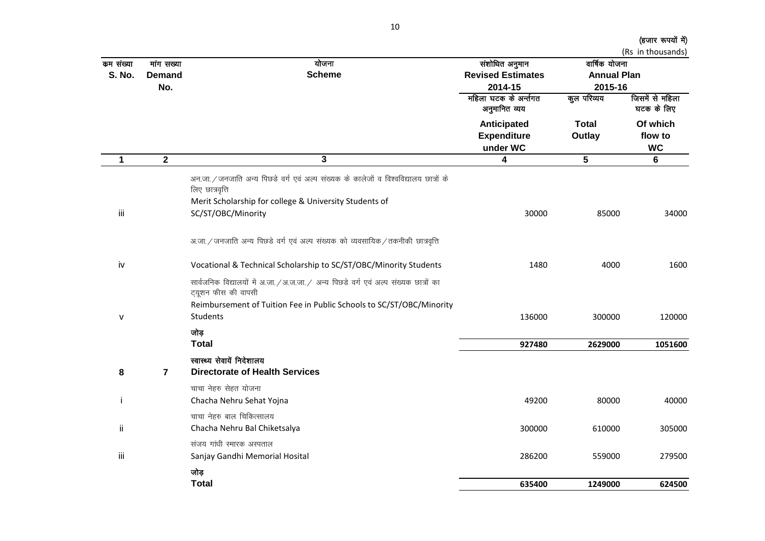|               |                  |                                                                                                              |                                               |                        | (Rs in thousands)                |
|---------------|------------------|--------------------------------------------------------------------------------------------------------------|-----------------------------------------------|------------------------|----------------------------------|
| कम संख्या     | मांग सख्या       | योजना                                                                                                        | संशोधित अनुमान                                | वार्षिक योजना          |                                  |
| <b>S. No.</b> |                  | <b>Scheme</b><br><b>Demand</b>                                                                               | <b>Revised Estimates</b>                      | <b>Annual Plan</b>     |                                  |
|               | No.              |                                                                                                              | 2014-15<br>महिला घटक के अर्न्तगत              | 2015-16<br>कुल परिव्यय | जिसमें से महिला                  |
|               |                  |                                                                                                              | अनुमानित व्यय                                 |                        | घटक के लिए                       |
|               |                  |                                                                                                              | Anticipated<br><b>Expenditure</b><br>under WC | <b>Total</b><br>Outlay | Of which<br>flow to<br><b>WC</b> |
| $\mathbf 1$   | $\boldsymbol{2}$ | 3                                                                                                            | 4                                             | $5\phantom{.0}$        | $6\phantom{1}$                   |
|               |                  |                                                                                                              |                                               |                        |                                  |
|               |                  | अन.जा. / जनजाति अन्य पिछडे वर्ग एवं अल्प संख्यक के कालेजों व विश्वविद्यालय छात्रों के                        |                                               |                        |                                  |
|               |                  | लिए छात्रवृत्ति<br>Merit Scholarship for college & University Students of                                    |                                               |                        |                                  |
| iίi           |                  | SC/ST/OBC/Minority                                                                                           | 30000                                         | 85000                  | 34000                            |
|               |                  |                                                                                                              |                                               |                        |                                  |
|               |                  | अ.जा. / जनजाति अन्य पिछडे वर्ग एवं अल्प संख्यक को व्यवसायिक / तकनीकी छात्रवृत्ति                             |                                               |                        |                                  |
| iv            |                  | Vocational & Technical Scholarship to SC/ST/OBC/Minority Students                                            | 1480                                          | 4000                   | 1600                             |
|               |                  | सार्वजनिक विद्यालयों में अ.जा. / अ.ज.जा. / अन्य पिछडे वर्ग एवं अल्प संख्यक छात्रों का<br>ट्यूशन फीस की वापसी |                                               |                        |                                  |
|               |                  | Reimbursement of Tuition Fee in Public Schools to SC/ST/OBC/Minority                                         |                                               |                        |                                  |
| v             |                  | Students                                                                                                     | 136000                                        | 300000                 | 120000                           |
|               |                  | जोड़                                                                                                         |                                               |                        |                                  |
|               |                  | <b>Total</b>                                                                                                 | 927480                                        | 2629000                | 1051600                          |
|               |                  | स्वास्थ्य सेवायें निदेशालय                                                                                   |                                               |                        |                                  |
| 8             | $\overline{7}$   | <b>Directorate of Health Services</b>                                                                        |                                               |                        |                                  |
|               |                  | चाचा नेहरु सेहत योजना                                                                                        |                                               |                        |                                  |
|               |                  | Chacha Nehru Sehat Yojna                                                                                     | 49200                                         | 80000                  | 40000                            |
|               |                  | चाचा नेहरु बाल चिकित्सालय                                                                                    |                                               |                        |                                  |
| ii            |                  | Chacha Nehru Bal Chiketsalya                                                                                 | 300000                                        | 610000                 | 305000                           |
|               |                  | संजय गांधी स्मारक अस्पताल                                                                                    |                                               |                        |                                  |
| iij           |                  | Sanjay Gandhi Memorial Hosital                                                                               | 286200                                        | 559000                 | 279500                           |
|               |                  | जोड                                                                                                          |                                               |                        |                                  |
|               |                  | <b>Total</b>                                                                                                 | 635400                                        | 1249000                | 624500                           |

(हजार रूपयों में)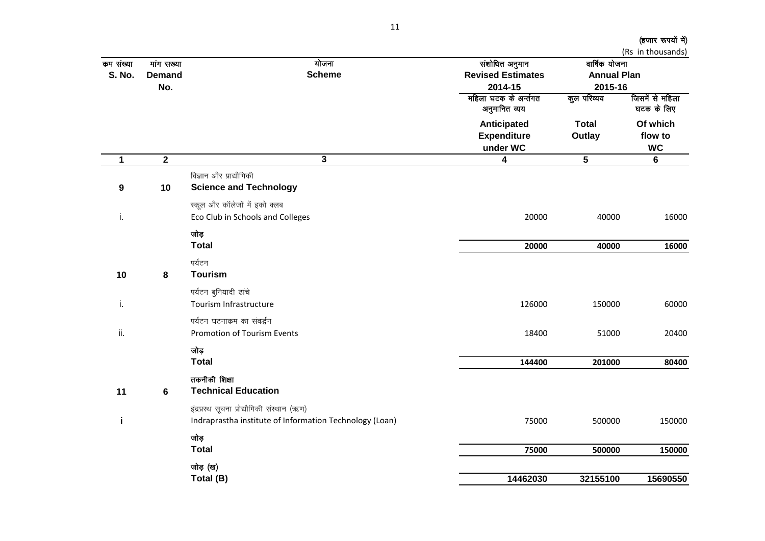|                            |                             |                                                                                                        |                                               |                                     | (Rs in thousands)                |
|----------------------------|-----------------------------|--------------------------------------------------------------------------------------------------------|-----------------------------------------------|-------------------------------------|----------------------------------|
| कम संख्या<br><b>S. No.</b> | मांग सख्या<br><b>Demand</b> | योजना<br><b>Scheme</b>                                                                                 | संशोधित अनुमान<br><b>Revised Estimates</b>    | वार्षिक योजना<br><b>Annual Plan</b> |                                  |
|                            | No.                         |                                                                                                        | 2014-15                                       | 2015-16                             |                                  |
|                            |                             |                                                                                                        | महिला घटक के अर्न्तगत<br>अनुमानित व्यय        | कुल परिव्यय                         | जिसमें से महिला<br>घटक के लिए    |
|                            |                             |                                                                                                        | Anticipated<br><b>Expenditure</b><br>under WC | <b>Total</b><br>Outlay              | Of which<br>flow to<br><b>WC</b> |
| $\mathbf{1}$               | $\mathbf{2}$                | 3                                                                                                      | 4                                             | $5\phantom{.0}$                     | 6                                |
| 9                          | 10                          | विज्ञान और प्राद्यौगिकी<br><b>Science and Technology</b>                                               |                                               |                                     |                                  |
| i.                         |                             | स्कूल और कॉलेजों में इको क्लब<br>Eco Club in Schools and Colleges                                      | 20000                                         | 40000                               | 16000                            |
|                            |                             | जोड़<br><b>Total</b>                                                                                   | 20000                                         | 40000                               | 16000                            |
|                            |                             | पर्यटन                                                                                                 |                                               |                                     |                                  |
| 10                         | 8                           | <b>Tourism</b>                                                                                         |                                               |                                     |                                  |
| j.                         |                             | पर्यटन बुनियादी ढांचे<br>Tourism Infrastructure                                                        | 126000                                        | 150000                              | 60000                            |
| ii.                        |                             | पर्यटन घटनाकम का संवर्द्धन<br>Promotion of Tourism Events                                              | 18400                                         | 51000                               | 20400                            |
|                            |                             | जोड़<br><b>Total</b>                                                                                   | 144400                                        | 201000                              | 80400                            |
| 11                         | 6                           | तकनीकी शिक्षा<br><b>Technical Education</b>                                                            |                                               |                                     |                                  |
| j,                         |                             | इंद्रप्रस्थ सूचना प्रोद्यौगिकी संस्थान (ऋण)<br>Indraprastha institute of Information Technology (Loan) | 75000                                         | 500000                              | 150000                           |
|                            |                             | जोड़<br><b>Total</b>                                                                                   | 75000                                         | 500000                              | 150000                           |
|                            |                             | जोड़ (ख)<br>Total (B)                                                                                  | 14462030                                      | 32155100                            | 15690550                         |

(हजार रूपयों में)